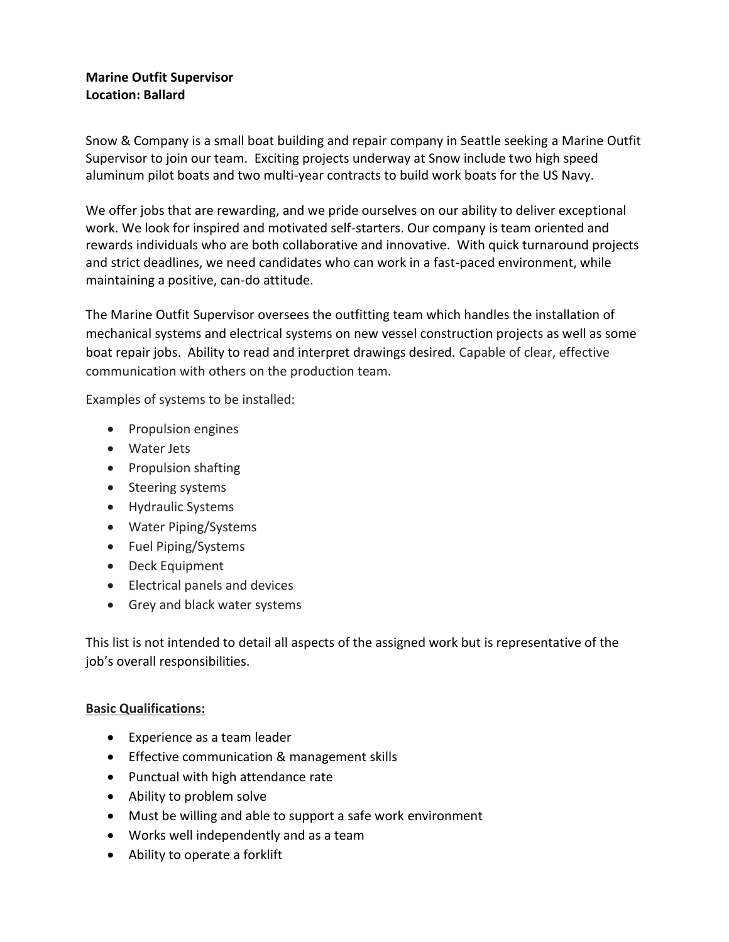## **Marine Outfit Supervisor Location: Ballard**

Snow & Company is a small boat building and repair company in Seattle seeking a Marine Outfit Supervisor to join our team. Exciting projects underway at Snow include two high speed aluminum pilot boats and two multi-year contracts to build work boats for the US Navy.

We offer jobs that are rewarding, and we pride ourselves on our ability to deliver exceptional work. We look for inspired and motivated self-starters. Our company is team oriented and rewards individuals who are both collaborative and innovative. With quick turnaround projects and strict deadlines, we need candidates who can work in a fast-paced environment, while maintaining a positive, can-do attitude.

The Marine Outfit Supervisor oversees the outfitting team which handles the installation of mechanical systems and electrical systems on new vessel construction projects as well as some boat repair jobs. Ability to read and interpret drawings desired. Capable of clear, effective communication with others on the production team.

Examples of systems to be installed:

- Propulsion engines
- Water Jets
- Propulsion shafting
- Steering systems
- Hydraulic Systems
- Water Piping/Systems
- Fuel Piping/Systems
- Deck Equipment
- Electrical panels and devices
- Grey and black water systems

This list is not intended to detail all aspects of the assigned work but is representative of the job's overall responsibilities.

## **Basic Qualifications:**

- Experience as a team leader
- Effective communication & management skills
- Punctual with high attendance rate
- Ability to problem solve
- Must be willing and able to support a safe work environment
- Works well independently and as a team
- Ability to operate a forklift